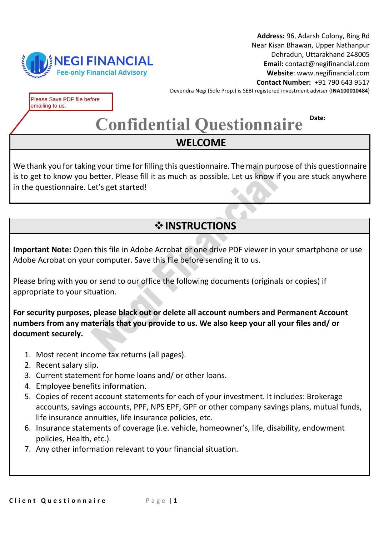

**Address:** 96, Adarsh Colony, Ring Rd Near Kisan Bhawan, Upper Nathanpur Dehradun, Uttarakhand 248005 **Email:** contact@negifinancial.com **Website**: www.negifinancial.com **Contact Number:** +91 790 643 9517

Devendra Negi (Sole Prop.) is SEBI registered investment adviser (**INA100010484**)

Please Save PDF file before emailing to us.

# **Confidential Questionnaire** Date:

#### **WELCOME**

We thank you for taking your time for filling this questionnaire. The main purpose of this questionnaire is to get to know you better. Please fill it as much as possible. Let us know if you are stuck anywhere in the questionnaire. Let's get started!

#### ❖**INSTRUCTIONS**

**Important Note:** Open this file in Adobe Acrobat or one drive PDF viewer in your smartphone or use Adobe Acrobat on your computer. Save this file before sending it to us.

Please bring with you or send to our office the following documents (originals or copies) if appropriate to your situation.

**For security purposes, please black out or delete all account numbers and Permanent Account numbers from any materials that you provide to us. We also keep your all your files and/ or document securely.**

- 1. Most recent income tax returns (all pages).
- 2. Recent salary slip.
- 3. Current statement for home loans and/ or other loans.
- 4. Employee benefits information.
- 5. Copies of recent account statements for each of your investment. It includes: Brokerage accounts, savings accounts, PPF, NPS EPF, GPF or other company savings plans, mutual funds, life insurance annuities, life insurance policies, etc.
- 6. Insurance statements of coverage (i.e. vehicle, homeowner's, life, disability, endowment policies, Health, etc.).
- 7. Any other information relevant to your financial situation.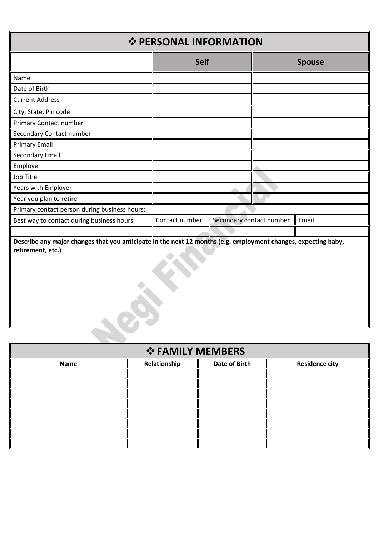| ❖ PERSONAL INFORMATION                                                                                                              |                |                          |  |               |  |
|-------------------------------------------------------------------------------------------------------------------------------------|----------------|--------------------------|--|---------------|--|
|                                                                                                                                     | <b>Self</b>    |                          |  | <b>Spouse</b> |  |
| Name                                                                                                                                |                |                          |  |               |  |
| Date of Birth                                                                                                                       |                |                          |  |               |  |
| <b>Current Address</b>                                                                                                              |                |                          |  |               |  |
| City, State, Pin code                                                                                                               |                |                          |  |               |  |
| Primary Contact number                                                                                                              |                |                          |  |               |  |
| Secondary Contact number                                                                                                            |                |                          |  |               |  |
| <b>Primary Email</b>                                                                                                                |                |                          |  |               |  |
| <b>Secondary Email</b>                                                                                                              |                |                          |  |               |  |
| Employer                                                                                                                            |                |                          |  |               |  |
| Job Title                                                                                                                           |                |                          |  |               |  |
| Years with Employer                                                                                                                 |                |                          |  |               |  |
| Year you plan to retire                                                                                                             |                |                          |  |               |  |
| Primary contact person during business hours:                                                                                       |                |                          |  |               |  |
| Best way to contact during business hours                                                                                           | Contact number | Secondary contact number |  | Email         |  |
|                                                                                                                                     |                |                          |  |               |  |
| Describe any major changes that you anticipate in the next 12 months (e.g. employment changes, expecting baby,<br>retirement, etc.) |                |                          |  |               |  |
|                                                                                                                                     |                |                          |  |               |  |

| ❖ FAMILY MEMBERS |              |               |                       |  |  |
|------------------|--------------|---------------|-----------------------|--|--|
| <b>Name</b>      | Relationship | Date of Birth | <b>Residence city</b> |  |  |
|                  |              |               |                       |  |  |
|                  |              |               |                       |  |  |
|                  |              |               |                       |  |  |
|                  |              |               |                       |  |  |
|                  |              |               |                       |  |  |
|                  |              |               |                       |  |  |
|                  |              |               |                       |  |  |
|                  |              |               |                       |  |  |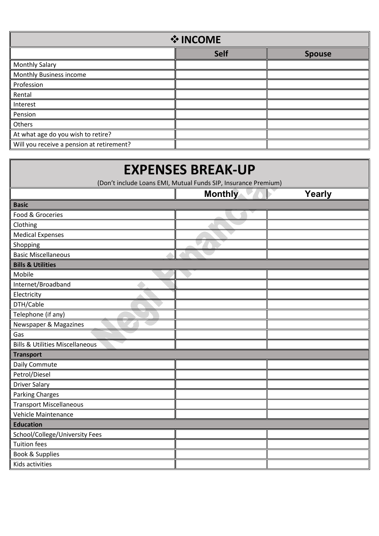| <b>❖ INCOME</b>                           |             |               |  |  |  |
|-------------------------------------------|-------------|---------------|--|--|--|
|                                           | <b>Self</b> | <b>Spouse</b> |  |  |  |
| <b>Monthly Salary</b>                     |             |               |  |  |  |
| Monthly Business income                   |             |               |  |  |  |
| Profession                                |             |               |  |  |  |
| Rental                                    |             |               |  |  |  |
| Interest                                  |             |               |  |  |  |
| Pension                                   |             |               |  |  |  |
| Others                                    |             |               |  |  |  |
| At what age do you wish to retire?        |             |               |  |  |  |
| Will you receive a pension at retirement? |             |               |  |  |  |

| <b>EXPENSES BREAK-UP</b><br>(Don't include Loans EMI, Mutual Funds SIP, Insurance Premium) |                |             |  |  |
|--------------------------------------------------------------------------------------------|----------------|-------------|--|--|
|                                                                                            | <b>Monthly</b> | Yearly<br>⊩ |  |  |
| <b>Basic</b>                                                                               |                |             |  |  |
| Food & Groceries                                                                           |                |             |  |  |
| Clothing                                                                                   |                |             |  |  |
| <b>Medical Expenses</b>                                                                    |                |             |  |  |
| Shopping                                                                                   |                |             |  |  |
| <b>Basic Miscellaneous</b>                                                                 |                |             |  |  |
| <b>Bills &amp; Utilities</b>                                                               |                |             |  |  |
| Mobile                                                                                     |                |             |  |  |
| Internet/Broadband                                                                         |                |             |  |  |
| Electricity                                                                                |                |             |  |  |
| DTH/Cable                                                                                  |                |             |  |  |
| Telephone (if any)                                                                         |                |             |  |  |
| <b>Newspaper &amp; Magazines</b>                                                           |                |             |  |  |
| Gas                                                                                        |                |             |  |  |
| <b>Bills &amp; Utilities Miscellaneous</b>                                                 |                |             |  |  |
| <b>Transport</b>                                                                           |                |             |  |  |
| Daily Commute                                                                              |                |             |  |  |
| Petrol/Diesel                                                                              |                |             |  |  |
| <b>Driver Salary</b>                                                                       |                |             |  |  |
| <b>Parking Charges</b>                                                                     |                |             |  |  |
| <b>Transport Miscellaneous</b>                                                             |                |             |  |  |
| <b>Vehicle Maintenance</b>                                                                 |                |             |  |  |
| <b>Education</b>                                                                           |                |             |  |  |
| School/College/University Fees                                                             |                |             |  |  |
| <b>Tuition fees</b>                                                                        |                |             |  |  |
| <b>Book &amp; Supplies</b>                                                                 |                |             |  |  |
| Kids activities                                                                            |                |             |  |  |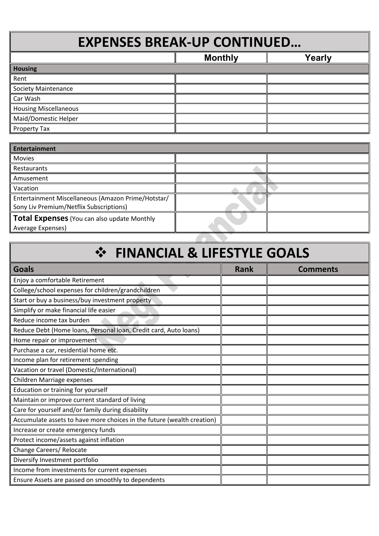# **EXPENSES BREAK-UP CONTINUED…**

|                              | <b>Monthly</b> | Yearly |
|------------------------------|----------------|--------|
| <b>Housing</b>               |                |        |
| Rent                         |                |        |
| <b>Society Maintenance</b>   |                |        |
| Car Wash                     |                |        |
| <b>Housing Miscellaneous</b> |                |        |
| Maid/Domestic Helper         |                |        |
| Property Tax                 |                |        |

| <b>Entertainment</b>                               |  |  |  |  |  |
|----------------------------------------------------|--|--|--|--|--|
| <b>Movies</b>                                      |  |  |  |  |  |
| <b>Restaurants</b>                                 |  |  |  |  |  |
| Amusement                                          |  |  |  |  |  |
| Vacation                                           |  |  |  |  |  |
| Entertainment Miscellaneous (Amazon Prime/Hotstar/ |  |  |  |  |  |
| Sony Liv Premium/Netflix Subscriptions)            |  |  |  |  |  |
| <b>Total Expenses</b> (You can also update Monthly |  |  |  |  |  |
| Average Expenses)                                  |  |  |  |  |  |

# ❖ **FINANCIAL & LIFESTYLE GOALS**

| <b>Goals</b>                                                           | <b>Rank</b> | <b>Comments</b> |
|------------------------------------------------------------------------|-------------|-----------------|
| Enjoy a comfortable Retirement                                         |             |                 |
| College/school expenses for children/grandchildren                     |             |                 |
| Start or buy a business/buy investment property                        |             |                 |
| Simplify or make financial life easier                                 |             |                 |
| Reduce income tax burden                                               |             |                 |
| Reduce Debt (Home loans, Personal loan, Credit card, Auto loans)       |             |                 |
| Home repair or improvement                                             |             |                 |
| Purchase a car, residential home etc.                                  |             |                 |
| Income plan for retirement spending                                    |             |                 |
| Vacation or travel (Domestic/International)                            |             |                 |
| Children Marriage expenses                                             |             |                 |
| Education or training for yourself                                     |             |                 |
| Maintain or improve current standard of living                         |             |                 |
| Care for yourself and/or family during disability                      |             |                 |
| Accumulate assets to have more choices in the future (wealth creation) |             |                 |
| Increase or create emergency funds                                     |             |                 |
| Protect income/assets against inflation                                |             |                 |
| Change Careers/ Relocate                                               |             |                 |
| Diversify Investment portfolio                                         |             |                 |
| Income from investments for current expenses                           |             |                 |
| Ensure Assets are passed on smoothly to dependents                     |             |                 |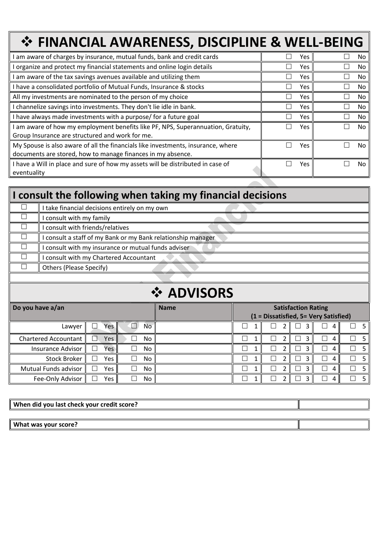| ❖ FINANCIAL AWARENESS, DISCIPLINE & WELL-BEING                                                                                                  |            |     |
|-------------------------------------------------------------------------------------------------------------------------------------------------|------------|-----|
| am aware of charges by insurance, mutual funds, bank and credit cards                                                                           | Yes        | No  |
| organize and protect my financial statements and online login details                                                                           | Yes        | No  |
| am aware of the tax savings avenues available and utilizing them                                                                                | Yes        | No  |
| I have a consolidated portfolio of Mutual Funds, Insurance & stocks                                                                             | Yes        | No  |
| All my investments are nominated to the person of my choice                                                                                     | Yes        | No  |
| I channelize savings into investments. They don't lie idle in bank.                                                                             | <b>Yes</b> | No. |
| I have always made investments with a purpose/ for a future goal                                                                                | Yes        | No  |
| am aware of how my employment benefits like PF, NPS, Superannuation, Gratuity,<br>Group Insurance are structured and work for me.               | Yes.       | No  |
| My Spouse is also aware of all the financials like investments, insurance, where<br>documents are stored, how to manage finances in my absence. | Yes        | No  |
| I have a Will in place and sure of how my assets will be distributed in case of<br>eventuality                                                  | <b>Yes</b> | No  |

|            | I consult the following when taking my financial decisions   |  |  |  |  |
|------------|--------------------------------------------------------------|--|--|--|--|
|            | I take financial decisions entirely on my own                |  |  |  |  |
|            | I consult with my family                                     |  |  |  |  |
|            | I consult with friends/relatives                             |  |  |  |  |
|            | I consult a staff of my Bank or my Bank relationship manager |  |  |  |  |
|            | I consult with my insurance or mutual funds adviser          |  |  |  |  |
|            | consult with my Chartered Accountant                         |  |  |  |  |
|            | Others (Please Specify)                                      |  |  |  |  |
|            |                                                              |  |  |  |  |
| ❖ ADVISORS |                                                              |  |  |  |  |

## ❖ **ADVISORS**

| Do you have a/an            |     | <b>Name</b>        | <b>Satisfaction Rating</b><br>(1 = Dissatisfied, 5 = Very Satisfied) |  |  |  |                               |  |
|-----------------------------|-----|--------------------|----------------------------------------------------------------------|--|--|--|-------------------------------|--|
| Lawyer                      | Yes | No<br>$\mathbf{I}$ |                                                                      |  |  |  | $\vert \ \ \vert$<br>Д        |  |
| <b>Chartered Accountant</b> | Yes | No                 |                                                                      |  |  |  | $\overline{\phantom{a}}$<br>Д |  |
| Insurance Advisor           | Yes | No                 |                                                                      |  |  |  |                               |  |
| <b>Stock Broker</b>         | Yes | No                 |                                                                      |  |  |  | l.                            |  |
| Mutual Funds advisor        | Yes | No                 |                                                                      |  |  |  | $\overline{\phantom{a}}$<br>д |  |
| Fee-Only Advisor            | Yes | No                 |                                                                      |  |  |  |                               |  |

**When did you last check your credit score?**

**What was your score?**

∥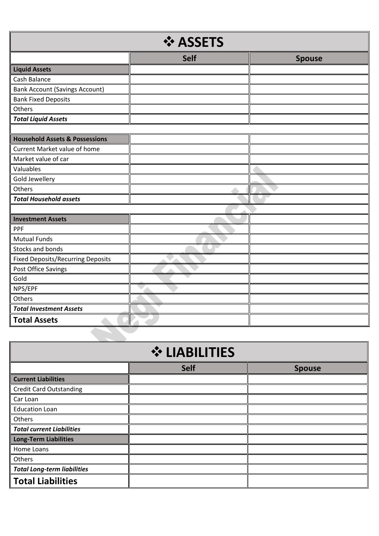| ❖ ASSETS                                  |             |               |  |  |  |
|-------------------------------------------|-------------|---------------|--|--|--|
|                                           | <b>Self</b> | <b>Spouse</b> |  |  |  |
| <b>Liquid Assets</b>                      |             |               |  |  |  |
| Cash Balance                              |             |               |  |  |  |
| <b>Bank Account (Savings Account)</b>     |             |               |  |  |  |
| <b>Bank Fixed Deposits</b>                |             |               |  |  |  |
| Others                                    |             |               |  |  |  |
| <b>Total Liquid Assets</b>                |             |               |  |  |  |
|                                           |             |               |  |  |  |
| <b>Household Assets &amp; Possessions</b> |             |               |  |  |  |
| <b>Current Market value of home</b>       |             |               |  |  |  |
| Market value of car                       |             |               |  |  |  |
| Valuables                                 |             |               |  |  |  |
| Gold Jewellery                            |             |               |  |  |  |
| Others                                    |             |               |  |  |  |
| <b>Total Household assets</b>             |             |               |  |  |  |
|                                           |             |               |  |  |  |
| <b>Investment Assets</b>                  |             |               |  |  |  |
| PPF                                       |             |               |  |  |  |
| <b>Mutual Funds</b>                       |             |               |  |  |  |
| Stocks and bonds                          |             |               |  |  |  |
| <b>Fixed Deposits/Recurring Deposits</b>  |             |               |  |  |  |
| Post Office Savings                       |             |               |  |  |  |
| Gold                                      |             |               |  |  |  |
| NPS/EPF                                   |             |               |  |  |  |
| Others                                    |             |               |  |  |  |
| <b>Total Investment Assets</b>            |             |               |  |  |  |
| <b>Total Assets</b>                       |             |               |  |  |  |
|                                           |             |               |  |  |  |

| <b>☆ LIABILITIES</b>               |                              |  |  |  |  |  |
|------------------------------------|------------------------------|--|--|--|--|--|
|                                    | <b>Self</b><br><b>Spouse</b> |  |  |  |  |  |
| <b>Current Liabilities</b>         |                              |  |  |  |  |  |
| <b>Credit Card Outstanding</b>     |                              |  |  |  |  |  |
| Car Loan                           |                              |  |  |  |  |  |
| <b>Education Loan</b>              |                              |  |  |  |  |  |
| Others                             |                              |  |  |  |  |  |
| <b>Total current Liabilities</b>   |                              |  |  |  |  |  |
| <b>Long-Term Liabilities</b>       |                              |  |  |  |  |  |
| Home Loans                         |                              |  |  |  |  |  |
| Others                             |                              |  |  |  |  |  |
| <b>Total Long-term liabilities</b> |                              |  |  |  |  |  |
| <b>Total Liabilities</b>           |                              |  |  |  |  |  |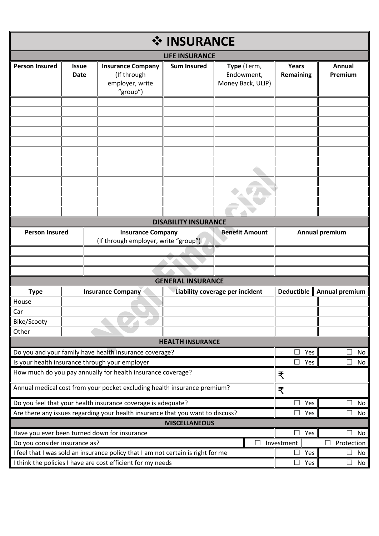| ❖ INSURANCE                                                                    |                             |  |                                                                                           |                                 |  |                                                |                |                             |                       |
|--------------------------------------------------------------------------------|-----------------------------|--|-------------------------------------------------------------------------------------------|---------------------------------|--|------------------------------------------------|----------------|-----------------------------|-----------------------|
| <b>LIFE INSURANCE</b>                                                          |                             |  |                                                                                           |                                 |  |                                                |                |                             |                       |
| <b>Person Insured</b>                                                          | <b>Issue</b><br><b>Date</b> |  | <b>Insurance Company</b><br>(If through<br>employer, write<br>"group")                    | <b>Sum Insured</b>              |  | Type (Term,<br>Endowment,<br>Money Back, ULIP) |                | Years<br>Remaining          | Annual<br>Premium     |
|                                                                                |                             |  |                                                                                           |                                 |  |                                                |                |                             |                       |
|                                                                                |                             |  |                                                                                           |                                 |  |                                                |                |                             |                       |
|                                                                                |                             |  |                                                                                           |                                 |  |                                                |                |                             |                       |
|                                                                                |                             |  |                                                                                           |                                 |  |                                                |                |                             |                       |
|                                                                                |                             |  |                                                                                           |                                 |  |                                                |                |                             |                       |
|                                                                                |                             |  |                                                                                           |                                 |  |                                                |                |                             |                       |
|                                                                                |                             |  |                                                                                           |                                 |  |                                                |                |                             |                       |
|                                                                                |                             |  |                                                                                           |                                 |  |                                                |                |                             |                       |
|                                                                                |                             |  |                                                                                           |                                 |  |                                                |                |                             |                       |
|                                                                                |                             |  |                                                                                           |                                 |  |                                                |                |                             |                       |
| <b>DISABILITY INSURANCE</b>                                                    |                             |  |                                                                                           |                                 |  |                                                |                |                             |                       |
| <b>Person Insured</b>                                                          |                             |  | <b>Insurance Company</b><br><b>Benefit Amount</b><br>(If through employer, write "group") |                                 |  |                                                | Annual premium |                             |                       |
|                                                                                |                             |  |                                                                                           |                                 |  |                                                |                |                             |                       |
|                                                                                |                             |  |                                                                                           |                                 |  |                                                |                |                             |                       |
|                                                                                |                             |  |                                                                                           |                                 |  |                                                |                |                             |                       |
| <b>GENERAL INSURANCE</b>                                                       |                             |  |                                                                                           |                                 |  |                                                |                |                             |                       |
| <b>Type</b>                                                                    | <b>Insurance Company</b>    |  |                                                                                           | Liability coverage per incident |  |                                                |                | <b>Deductible</b>           | <b>Annual premium</b> |
| House<br>Car                                                                   |                             |  |                                                                                           |                                 |  |                                                |                |                             |                       |
| Bike/Scooty                                                                    |                             |  |                                                                                           |                                 |  |                                                |                |                             |                       |
| Other                                                                          |                             |  |                                                                                           |                                 |  |                                                |                |                             |                       |
| <b>HEALTH INSURANCE</b>                                                        |                             |  |                                                                                           |                                 |  |                                                |                |                             |                       |
| Do you and your family have health insurance coverage?                         |                             |  |                                                                                           |                                 |  |                                                |                | Yes                         | No                    |
| Is your health insurance through your employer                                 |                             |  |                                                                                           |                                 |  |                                                |                | Yes                         | No                    |
| How much do you pay annually for health insurance coverage?                    |                             |  |                                                                                           |                                 |  |                                                |                | ₹                           |                       |
| Annual medical cost from your pocket excluding health insurance premium?       |                             |  |                                                                                           |                                 |  |                                                |                | ₹                           |                       |
| Do you feel that your health insurance coverage is adequate?                   |                             |  |                                                                                           |                                 |  |                                                |                | Yes<br>ш                    | No                    |
| Are there any issues regarding your health insurance that you want to discuss? |                             |  |                                                                                           |                                 |  |                                                |                | $\Box$<br>Yes               | П<br>No               |
| <b>MISCELLANEOUS</b><br>Have you ever been turned down for insurance           |                             |  |                                                                                           |                                 |  |                                                |                |                             |                       |
| Do you consider insurance as?                                                  |                             |  |                                                                                           |                                 |  | $\Box$                                         |                | $\Box$<br>Yes<br>Investment | П<br>No<br>Protection |
|                                                                                |                             |  | I feel that I was sold an insurance policy that I am not certain is right for me          |                                 |  |                                                |                | Yes                         | No                    |
| I think the policies I have are cost efficient for my needs                    |                             |  |                                                                                           |                                 |  |                                                |                | Yes                         | No                    |